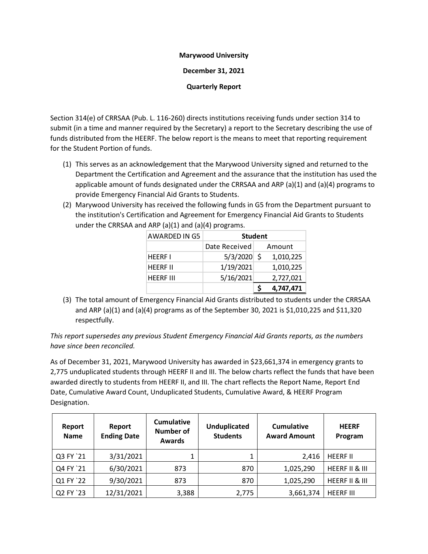## **Marywood University**

**December 31, 2021**

**Quarterly Report**

Section 314(e) of CRRSAA (Pub. L. 116-260) directs institutions receiving funds under section 314 to submit (in a time and manner required by the Secretary) a report to the Secretary describing the use of funds distributed from the HEERF. The below report is the means to meet that reporting requirement for the Student Portion of funds.

- (1) This serves as an acknowledgement that the Marywood University signed and returned to the Department the Certification and Agreement and the assurance that the institution has used the applicable amount of funds designated under the CRRSAA and ARP (a)(1) and (a)(4) programs to provide Emergency Financial Aid Grants to Students.
- (2) Marywood University has received the following funds in G5 from the Department pursuant to the institution's Certification and Agreement for Emergency Financial Aid Grants to Students under the CRRSAA and ARP  $(a)(1)$  and  $(a)(4)$  programs.

| AWARDED IN G5    | <b>Student</b> |     |           |  |
|------------------|----------------|-----|-----------|--|
|                  | Date Received  |     | Amount    |  |
| <b>HEERE I</b>   | 5/3/2020       | - Ś | 1,010,225 |  |
| <b>HEERF II</b>  | 1/19/2021      |     | 1,010,225 |  |
| <b>HEERF III</b> | 5/16/2021      |     | 2,727,021 |  |
|                  |                |     | 4,747,471 |  |

(3) The total amount of Emergency Financial Aid Grants distributed to students under the CRRSAA and ARP (a)(1) and (a)(4) programs as of the September 30, 2021 is \$1,010,225 and \$11,320 respectfully.

*This report supersedes any previous Student Emergency Financial Aid Grants reports, as the numbers have since been reconciled.*

As of December 31, 2021, Marywood University has awarded in \$23,661,374 in emergency grants to 2,775 unduplicated students through HEERF II and III. The below charts reflect the funds that have been awarded directly to students from HEERF II, and III. The chart reflects the Report Name, Report End Date, Cumulative Award Count, Unduplicated Students, Cumulative Award, & HEERF Program Designation.

| Report<br><b>Name</b> | Report<br><b>Ending Date</b> | <b>Cumulative</b><br><b>Number of</b><br><b>Awards</b> | <b>Unduplicated</b><br><b>Students</b> | <b>Cumulative</b><br><b>Award Amount</b> | <b>HEERF</b><br>Program |
|-----------------------|------------------------------|--------------------------------------------------------|----------------------------------------|------------------------------------------|-------------------------|
| Q3 FY `21             | 3/31/2021                    | 1                                                      | 1                                      | 2,416                                    | <b>HEERF II</b>         |
| Q4 FY '21             | 6/30/2021                    | 873                                                    | 870                                    | 1,025,290                                | HEERF II & III          |
| Q1 FY '22             | 9/30/2021                    | 873                                                    | 870                                    | 1,025,290                                | HEERF II & III          |
| Q2 FY '23             | 12/31/2021                   | 3,388                                                  | 2,775                                  | 3,661,374                                | <b>HEERF III</b>        |